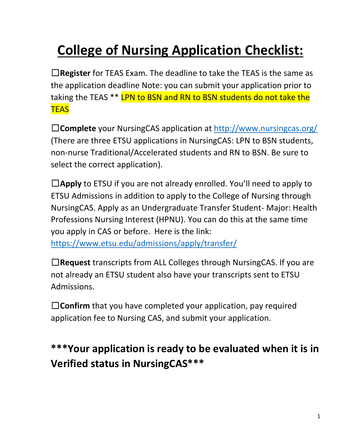# **College of Nursing Application Checklist:**

☐**Register** for TEAS Exam. The deadline to take the TEAS is the same as the application deadline Note: you can submit your application prior to taking the TEAS<sup>\*\*</sup> LPN to BSN and RN to BSN students do not take the **TEAS** 

☐**Complete** your NursingCAS application at <http://www.nursingcas.org/> (There are three ETSU applications in NursingCAS: LPN to BSN students, non-nurse Traditional/Accelerated students and RN to BSN. Be sure to select the correct application).

☐**Apply** to ETSU if you are not already enrolled. You'll need to apply to ETSU Admissions in addition to apply to the College of Nursing through NursingCAS. Apply as an Undergraduate Transfer Student- Major: Health Professions Nursing Interest (HPNU). You can do this at the same time you apply in CAS or before. Here is the link: <https://www.etsu.edu/admissions/apply/transfer/>

☐**Request** transcripts from ALL Colleges through NursingCAS. If you are not already an ETSU student also have your transcripts sent to ETSU Admissions.

☐**Confirm** that you have completed your application, pay required application fee to Nursing CAS, and submit your application.

### **\*\*\*Your application is ready to be evaluated when it is in Verified status in NursingCAS\*\*\***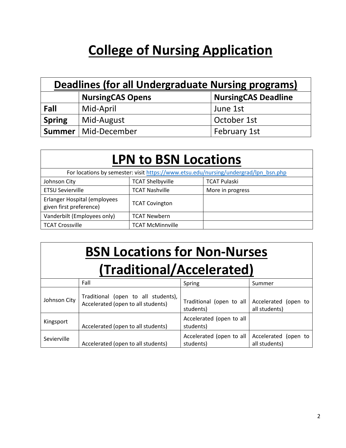### **College of Nursing Application**

| Deadlines (for all Undergraduate Nursing programs) |                                                       |              |  |
|----------------------------------------------------|-------------------------------------------------------|--------------|--|
|                                                    | <b>NursingCAS Deadline</b><br><b>NursingCAS Opens</b> |              |  |
| Fall                                               | Mid-April                                             | June 1st     |  |
| <b>Spring</b>                                      | Mid-August                                            | October 1st  |  |
|                                                    | Summer   Mid-December                                 | February 1st |  |

### **LPN to BSN Locations**

| For locations by semester: visit https://www.etsu.edu/nursing/undergrad/lpn_bsn.php |                         |                     |
|-------------------------------------------------------------------------------------|-------------------------|---------------------|
| Johnson City                                                                        | <b>TCAT Shelbyville</b> | <b>TCAT Pulaski</b> |
| <b>ETSU Sevierville</b>                                                             | <b>TCAT Nashville</b>   | More in progress    |
| Erlanger Hospital (employees<br>given first preference)                             | <b>TCAT Covington</b>   |                     |
| Vanderbilt (Employees only)                                                         | <b>TCAT Newbern</b>     |                     |
| <b>TCAT Crossville</b>                                                              | <b>TCAT McMinnville</b> |                     |

# **BSN Locations for Non-Nurses**

### **(Traditional/Accelerated)**

|              | Fall                                                                      | Spring                                | Summer                                |  |
|--------------|---------------------------------------------------------------------------|---------------------------------------|---------------------------------------|--|
| Johnson City | Traditional (open to all students),<br>Accelerated (open to all students) | Traditional (open to all<br>students) | Accelerated (open to<br>all students) |  |
| Kingsport    | Accelerated (open to all students)                                        | Accelerated (open to all<br>students) |                                       |  |
| Sevierville  | Accelerated (open to all students)                                        | Accelerated (open to all<br>students) | Accelerated (open to<br>all students) |  |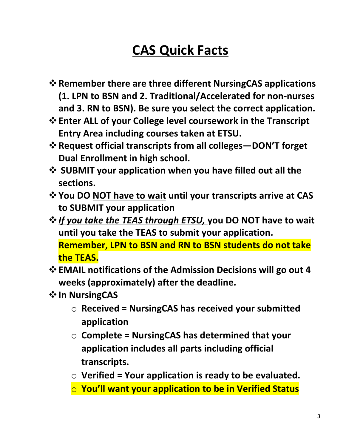# **CAS Quick Facts**

- ❖**Remember there are three different NursingCAS applications (1. LPN to BSN and 2. Traditional/Accelerated for non-nurses and 3. RN to BSN). Be sure you select the correct application.**
- ❖**Enter ALL of your College level coursework in the Transcript Entry Area including courses taken at ETSU.**
- ❖**Request official transcripts from all colleges—DON'T forget Dual Enrollment in high school.**
- ❖ **SUBMIT your application when you have filled out all the sections.**
- ❖**You DO NOT have to wait until your transcripts arrive at CAS to SUBMIT your application**
- ❖*If you take the TEAS through ETSU,* **you DO NOT have to wait until you take the TEAS to submit your application. Remember, LPN to BSN and RN to BSN students do not take the TEAS.**
- ❖**EMAIL notifications of the Admission Decisions will go out 4 weeks (approximately) after the deadline.**
- ❖**In NursingCAS**
	- o **Received = NursingCAS has received your submitted application**
	- o **Complete = NursingCAS has determined that your application includes all parts including official transcripts.**
	- o **Verified = Your application is ready to be evaluated.**
	- o **You'll want your application to be in Verified Status**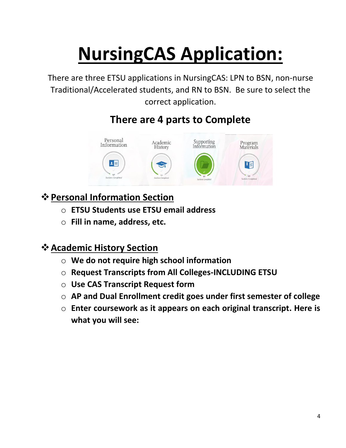# **NursingCAS Application:**

There are three ETSU applications in NursingCAS: LPN to BSN, non-nurse Traditional/Accelerated students, and RN to BSN. Be sure to select the correct application.

### **There are 4 parts to Complete**



### ❖**Personal Information Section**

- o **ETSU Students use ETSU email address**
- o **Fill in name, address, etc.**

### ❖**Academic History Section**

- o **We do not require high school information**
- o **Request Transcripts from All Colleges-INCLUDING ETSU**
- o **Use CAS Transcript Request form**
- o **AP and Dual Enrollment credit goes under first semester of college**
- o **Enter coursework as it appears on each original transcript. Here is what you will see:**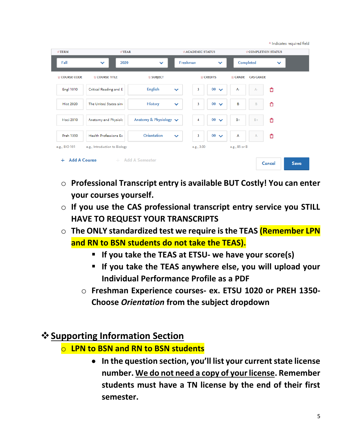|                              |                               |                             |              |                  |                       |               |                    |              | * Indicates required field |
|------------------------------|-------------------------------|-----------------------------|--------------|------------------|-----------------------|---------------|--------------------|--------------|----------------------------|
| $~\star$ TERM                | $*$ YEAR                      |                             |              | *ACADEMIC STATUS |                       |               | *COMPLETION STATUS |              |                            |
| Fall                         | 2020<br>$\checkmark$          | $\checkmark$                | Freshman     |                  | $\checkmark$          |               | Completed          | $\checkmark$ |                            |
| <b>☆ COURSE CODE</b>         | <b>☆ COURSE TITLE</b>         | ☆ SUBJECT                   |              |                  | $\frac{1}{N}$ CREDITS | $\div$ GRADE  | <b>CAS GRADE</b>   |              |                            |
| <b>Engl 1010</b>             | Critical Reading and E        | <b>English</b>              | $\checkmark$ | 3                | 00<br>$\checkmark$    | $A-$          | $A-$               | û            |                            |
| <b>Hist 2020</b>             | The United States sing        | <b>History</b>              | $\checkmark$ | 3                | $00 \sqrt{}$          | B             | B                  | €            |                            |
| <b>Hsci 2010</b>             | Anatomy and Physiolc          | Anatomy & Physiology $\vee$ |              | 4                | $00 \sqrt{}$          | $B+$          | $B+$               | €            |                            |
| Preh 1350                    | <b>Health Professions Ex</b>  | Orientation                 | $\checkmark$ | 3                | $00 \sqrt{}$          | А             | Α                  | û            |                            |
| e.g., BIO 101                | e.g., Introduction to Biology |                             |              | e.g., 3.00       |                       | e.g., 85 or B |                    |              |                            |
| <b>Add A Course</b><br>$\pm$ |                               | + Add A Semester            |              |                  |                       |               |                    | Cancel       | <b>Save</b>                |

- o **Professional Transcript entry is available BUT Costly! You can enter your courses yourself.**
- o **If you use the CAS professional transcript entry service you STILL HAVE TO REQUEST YOUR TRANSCRIPTS**
- o **The ONLY standardized test we require is the TEAS (Remember LPN and RN to BSN students do not take the TEAS).**
	- **If you take the TEAS at ETSU- we have your score(s)**
	- **If you take the TEAS anywhere else, you will upload your Individual Performance Profile as a PDF**
	- o **Freshman Experience courses- ex. ETSU 1020 or PREH 1350- Choose** *Orientation* **from the subject dropdown**

### ❖**Supporting Information Section**

- o **LPN to BSN and RN to BSN students**
	- **In the question section, you'll list your current state license number. We do not need a copy of your license. Remember students must have a TN license by the end of their first semester.**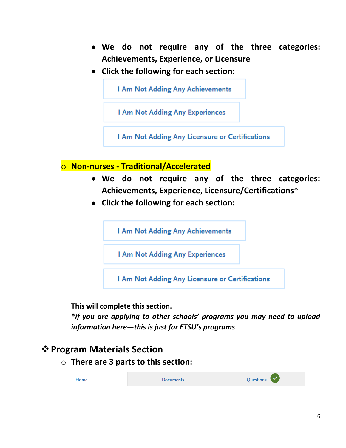- **We do not require any of the three categories: Achievements, Experience, or Licensure**
- **Click the following for each section:**



o **Non-nurses - Traditional/Accelerated**

- **We do not require any of the three categories: Achievements, Experience, Licensure/Certifications\***
- **Click the following for each section:**

I Am Not Adding Any Achievements

I Am Not Adding Any Experiences

I Am Not Adding Any Licensure or Certifications

**This will complete this section.**

**\****if you are applying to other schools' programs you may need to upload information here—this is just for ETSU's programs*

### ❖**Program Materials Section**

o **There are 3 parts to this section:**

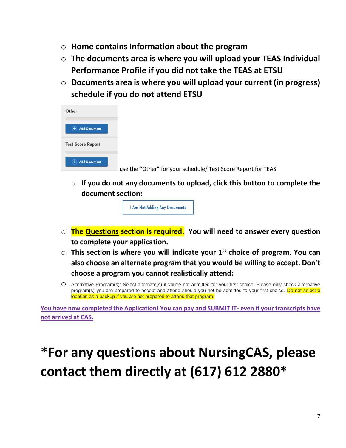- o **Home contains Information about the program**
- o **The documents area is where you will upload your TEAS Individual Performance Profile if you did not take the TEAS at ETSU**
- o **Documents area is where you will upload your current (in progress) schedule if you do not attend ETSU**

| Other                         |                                                               |
|-------------------------------|---------------------------------------------------------------|
| <b>Add Document</b><br>$^{+}$ |                                                               |
| <b>Test Score Report</b>      |                                                               |
| <b>Add Document</b>           | use the "Other" for your schedule/ Test Score Report for TEAS |

o **If you do not any documents to upload, click this button to complete the document section:**

I Am Not Adding Any Documents

- o **The Questions section is required. You will need to answer every question to complete your application.**
- o **This section is where you will indicate your 1st choice of program. You can also choose an alternate program that you would be willing to accept. Don't choose a program you cannot realistically attend:**
- o Alternative Program(s): Select alternate(s) if you're not admitted for your first choice. Please only check alternative program(s) you are prepared to accept and attend should you not be admitted to your first choice. Do not select a location as a backup if you are not prepared to attend that program.

**You have now completed the Application! You can pay and SUBMIT IT- even if your transcripts have not arrived at CAS.**

# **\*For any questions about NursingCAS, please contact them directly at (617) 612 2880\***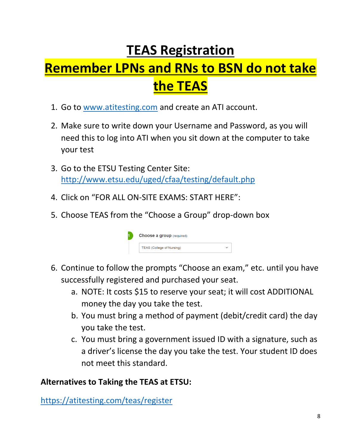### **TEAS Registration**

# **Remember LPNs and RNs to BSN do not take the TEAS**

- 1. Go to [www.atitesting.com](http://www.atitesting.com/) and create an ATI account.
- 2. Make sure to write down your Username and Password, as you will need this to log into ATI when you sit down at the computer to take your test
- 3. Go to the ETSU Testing Center Site: <http://www.etsu.edu/uged/cfaa/testing/default.php>
- 4. Click on "FOR ALL ON-SITE EXAMS: START HERE":
- 5. Choose TEAS from the "Choose a Group" drop-down box



- 6. Continue to follow the prompts "Choose an exam," etc. until you have successfully registered and purchased your seat.
	- a. NOTE: It costs \$15 to reserve your seat; it will cost ADDITIONAL money the day you take the test.
	- b. You must bring a method of payment (debit/credit card) the day you take the test.
	- c. You must bring a government issued ID with a signature, such as a driver's license the day you take the test. Your student ID does not meet this standard.

### **Alternatives to Taking the TEAS at ETSU:**

<https://atitesting.com/teas/register>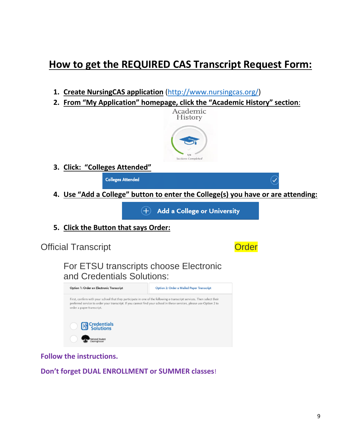### **How to get the REQUIRED CAS Transcript Request Form:**

- **1. Create NursingCAS application** [\(http://www.nursingcas.org/\)](http://www.nursingcas.org/)
- **2. From "My Application" homepage, click the "Academic History" section**:



**3. Click: "Colleges Attended"**

**Colleges Attended** 

**4. Use "Add a College" button to enter the College(s) you have or are attending:**

 $(+)$ **Add a College or University** 

**5. Click the Button that says Order:**

### Official Transcript **Order Order**

For ETSU transcripts choose Electronic and Credentials Solutions:



**Follow the instructions.**

**Don't forget DUAL ENROLLMENT or SUMMER classes**!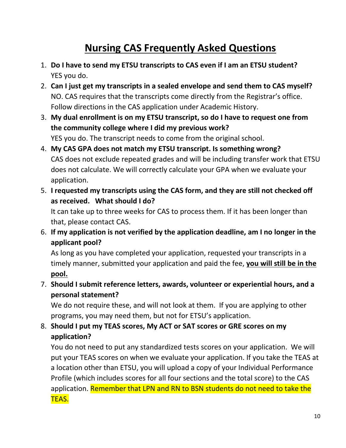### **Nursing CAS Frequently Asked Questions**

- 1. **Do I have to send my ETSU transcripts to CAS even if I am an ETSU student?** YES you do.
- 2. **Can I just get my transcripts in a sealed envelope and send them to CAS myself?** NO. CAS requires that the transcripts come directly from the Registrar's office. Follow directions in the CAS application under Academic History.
- 3. **My dual enrollment is on my ETSU transcript, so do I have to request one from the community college where I did my previous work?** YES you do. The transcript needs to come from the original school.
- 4. **My CAS GPA does not match my ETSU transcript. Is something wrong?** CAS does not exclude repeated grades and will be including transfer work that ETSU does not calculate. We will correctly calculate your GPA when we evaluate your application.
- 5. **I requested my transcripts using the CAS form, and they are still not checked off as received. What should I do?**

It can take up to three weeks for CAS to process them. If it has been longer than that, please contact CAS.

6. **If my application is not verified by the application deadline, am I no longer in the applicant pool?** 

As long as you have completed your application, requested your transcripts in a timely manner, submitted your application and paid the fee, **you will still be in the pool.** 

7. **Should I submit reference letters, awards, volunteer or experiential hours, and a personal statement?** 

We do not require these, and will not look at them. If you are applying to other programs, you may need them, but not for ETSU's application.

8. **Should I put my TEAS scores, My ACT or SAT scores or GRE scores on my application?** 

You do not need to put any standardized tests scores on your application. We will put your TEAS scores on when we evaluate your application. If you take the TEAS at a location other than ETSU, you will upload a copy of your Individual Performance Profile (which includes scores for all four sections and the total score) to the CAS application. Remember that LPN and RN to BSN students do not need to take the TEAS.